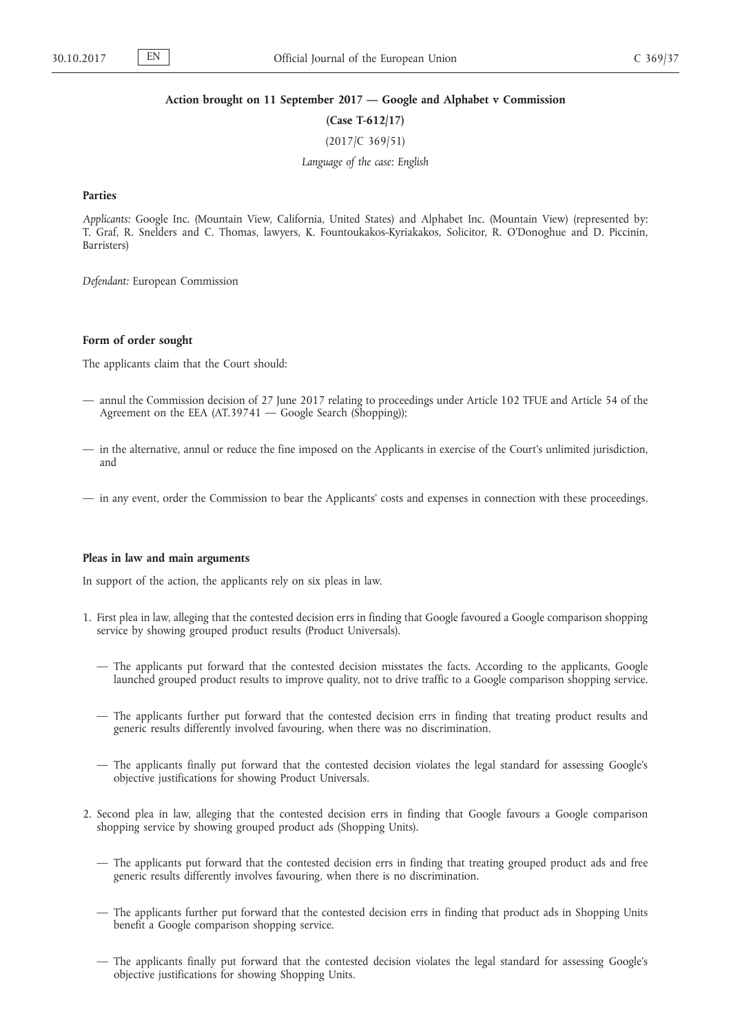### **Action brought on 11 September 2017 — Google and Alphabet v Commission**

**(Case T-612/17)**

(2017/C 369/51)

*Language of the case: English*

#### **Parties**

*Applicants:* Google Inc. (Mountain View, California, United States) and Alphabet Inc. (Mountain View) (represented by: T. Graf, R. Snelders and C. Thomas, lawyers, K. Fountoukakos-Kyriakakos, Solicitor, R. O'Donoghue and D. Piccinin, Barristers)

*Defendant:* European Commission

# **Form of order sought**

The applicants claim that the Court should:

- annul the Commission decision of 27 June 2017 relating to proceedings under Article 102 TFUE and Article 54 of the Agreement on the EEA (AT.39741 — Google Search (Shopping));
- in the alternative, annul or reduce the fine imposed on the Applicants in exercise of the Court's unlimited jurisdiction, and
- in any event, order the Commission to bear the Applicants' costs and expenses in connection with these proceedings.

### **Pleas in law and main arguments**

In support of the action, the applicants rely on six pleas in law.

- 1. First plea in law, alleging that the contested decision errs in finding that Google favoured a Google comparison shopping service by showing grouped product results (Product Universals).
	- The applicants put forward that the contested decision misstates the facts. According to the applicants, Google launched grouped product results to improve quality, not to drive traffic to a Google comparison shopping service.
	- The applicants further put forward that the contested decision errs in finding that treating product results and generic results differently involved favouring, when there was no discrimination.
	- The applicants finally put forward that the contested decision violates the legal standard for assessing Google's objective justifications for showing Product Universals.
- 2. Second plea in law, alleging that the contested decision errs in finding that Google favours a Google comparison shopping service by showing grouped product ads (Shopping Units).
	- The applicants put forward that the contested decision errs in finding that treating grouped product ads and free generic results differently involves favouring, when there is no discrimination.
	- The applicants further put forward that the contested decision errs in finding that product ads in Shopping Units benefit a Google comparison shopping service.
	- The applicants finally put forward that the contested decision violates the legal standard for assessing Google's objective justifications for showing Shopping Units.